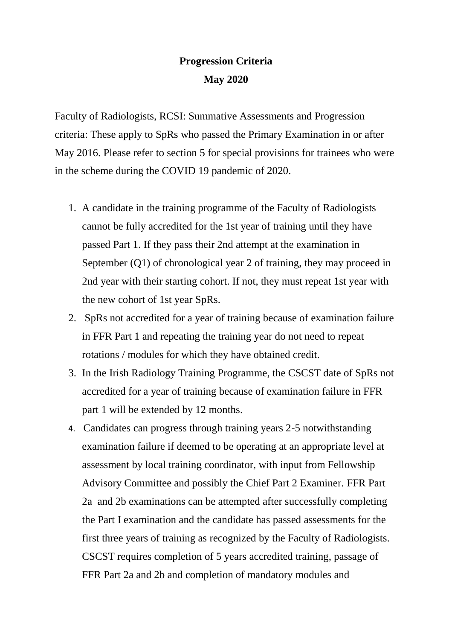## **Progression Criteria May 2020**

Faculty of Radiologists, RCSI: Summative Assessments and Progression criteria: These apply to SpRs who passed the Primary Examination in or after May 2016. Please refer to section 5 for special provisions for trainees who were in the scheme during the COVID 19 pandemic of 2020.

- 1. A candidate in the training programme of the Faculty of Radiologists cannot be fully accredited for the 1st year of training until they have passed Part 1. If they pass their 2nd attempt at the examination in September (Q1) of chronological year 2 of training, they may proceed in 2nd year with their starting cohort. If not, they must repeat 1st year with the new cohort of 1st year SpRs.
- 2. SpRs not accredited for a year of training because of examination failure in FFR Part 1 and repeating the training year do not need to repeat rotations / modules for which they have obtained credit.
- 3. In the Irish Radiology Training Programme, the CSCST date of SpRs not accredited for a year of training because of examination failure in FFR part 1 will be extended by 12 months.
- 4. Candidates can progress through training years 2-5 notwithstanding examination failure if deemed to be operating at an appropriate level at assessment by local training coordinator, with input from Fellowship Advisory Committee and possibly the Chief Part 2 Examiner. FFR Part 2a and 2b examinations can be attempted after successfully completing the Part I examination and the candidate has passed assessments for the first three years of training as recognized by the Faculty of Radiologists. CSCST requires completion of 5 years accredited training, passage of FFR Part 2a and 2b and completion of mandatory modules and